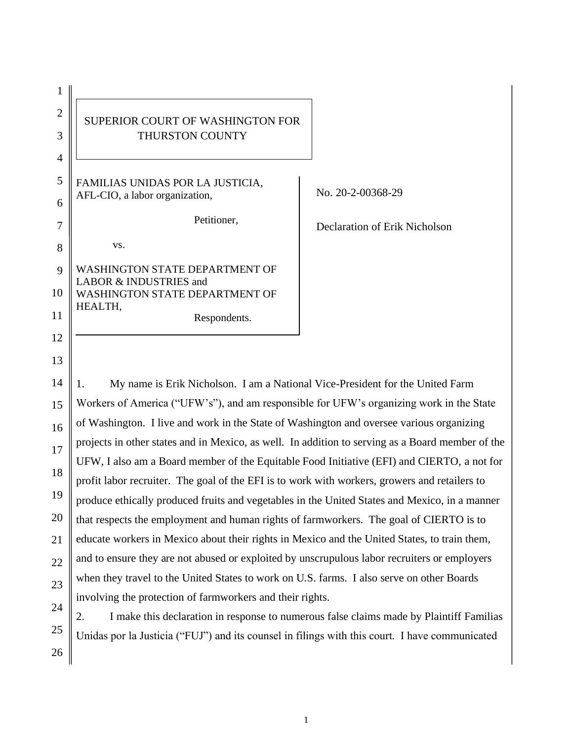| 1              |                                                                 |               |
|----------------|-----------------------------------------------------------------|---------------|
| $\overline{2}$ | SUPERIOR COURT OF WASHINGTON FOR                                |               |
| 3              | THURSTON COUNTY                                                 |               |
| $\overline{4}$ |                                                                 |               |
| 5              | FAMILIAS UNIDAS POR LA JUSTICIA,                                | No. $20-2-00$ |
| 6              | AFL-CIO, a labor organization,                                  |               |
| 7              | Petitioner,                                                     | Declaration   |
| 8              | VS.                                                             |               |
| 9              | <b>WASHINGTON STATE DEPARTMENT OF</b><br>LABOR & INDUSTRIES and |               |
| 10             | <b>WASHINGTON STATE DEPARTMENT OF</b><br>HEALTH,                |               |
| 11             | Respondents.                                                    |               |
| 12             |                                                                 |               |
| 13             |                                                                 |               |

0368-29

of Erik Nicholson

14 15 16 17 18 19 20 21 22 23 24 1. My name is Erik Nicholson. I am a National Vice-President for the United Farm Workers of America ("UFW's"), and am responsible for UFW's organizing work in the State of Washington. I live and work in the State of Washington and oversee various organizing projects in other states and in Mexico, as well. In addition to serving as a Board member of the UFW, I also am a Board member of the Equitable Food Initiative (EFI) and CIERTO, a not for profit labor recruiter. The goal of the EFI is to work with workers, growers and retailers to produce ethically produced fruits and vegetables in the United States and Mexico, in a manner that respects the employment and human rights of farmworkers. The goal of CIERTO is to educate workers in Mexico about their rights in Mexico and the United States, to train them, and to ensure they are not abused or exploited by unscrupulous labor recruiters or employers when they travel to the United States to work on U.S. farms. I also serve on other Boards involving the protection of farmworkers and their rights.

2. I make this declaration in response to numerous false claims made by Plaintiff Familias Unidas por la Justicia ("FUJ") and its counsel in filings with this court. I have communicated

25

26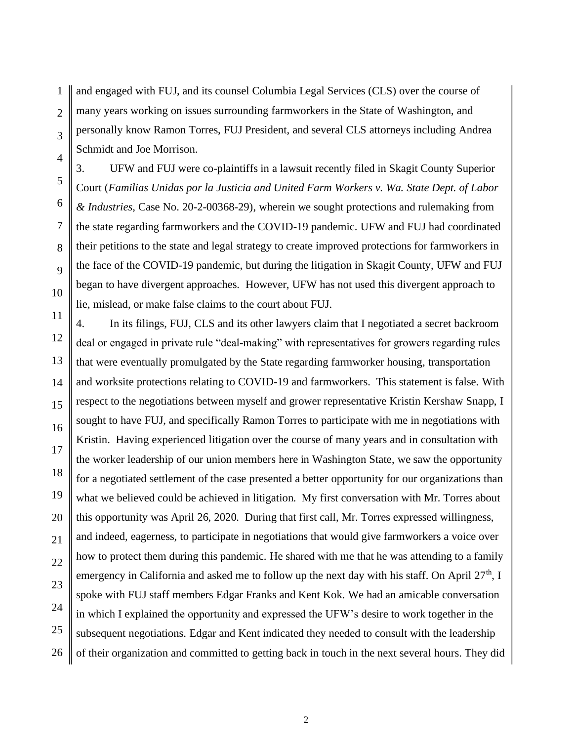1 2 3 4 and engaged with FUJ, and its counsel Columbia Legal Services (CLS) over the course of many years working on issues surrounding farmworkers in the State of Washington, and personally know Ramon Torres, FUJ President, and several CLS attorneys including Andrea Schmidt and Joe Morrison.

5

6

7

8

9

10

3. UFW and FUJ were co-plaintiffs in a lawsuit recently filed in Skagit County Superior Court (*Familias Unidas por la Justicia and United Farm Workers v. Wa. State Dept. of Labor & Industries*, Case No. 20-2-00368-29), wherein we sought protections and rulemaking from the state regarding farmworkers and the COVID-19 pandemic. UFW and FUJ had coordinated their petitions to the state and legal strategy to create improved protections for farmworkers in the face of the COVID-19 pandemic, but during the litigation in Skagit County, UFW and FUJ began to have divergent approaches. However, UFW has not used this divergent approach to lie, mislead, or make false claims to the court about FUJ.

11 12 13 14 15 16 17 18 19 20 21 22 23 24 25 26 4. In its filings, FUJ, CLS and its other lawyers claim that I negotiated a secret backroom deal or engaged in private rule "deal-making" with representatives for growers regarding rules that were eventually promulgated by the State regarding farmworker housing, transportation and worksite protections relating to COVID-19 and farmworkers. This statement is false. With respect to the negotiations between myself and grower representative Kristin Kershaw Snapp, I sought to have FUJ, and specifically Ramon Torres to participate with me in negotiations with Kristin. Having experienced litigation over the course of many years and in consultation with the worker leadership of our union members here in Washington State, we saw the opportunity for a negotiated settlement of the case presented a better opportunity for our organizations than what we believed could be achieved in litigation. My first conversation with Mr. Torres about this opportunity was April 26, 2020. During that first call, Mr. Torres expressed willingness, and indeed, eagerness, to participate in negotiations that would give farmworkers a voice over how to protect them during this pandemic. He shared with me that he was attending to a family emergency in California and asked me to follow up the next day with his staff. On April  $27<sup>th</sup>$ , I spoke with FUJ staff members Edgar Franks and Kent Kok. We had an amicable conversation in which I explained the opportunity and expressed the UFW's desire to work together in the subsequent negotiations. Edgar and Kent indicated they needed to consult with the leadership of their organization and committed to getting back in touch in the next several hours. They did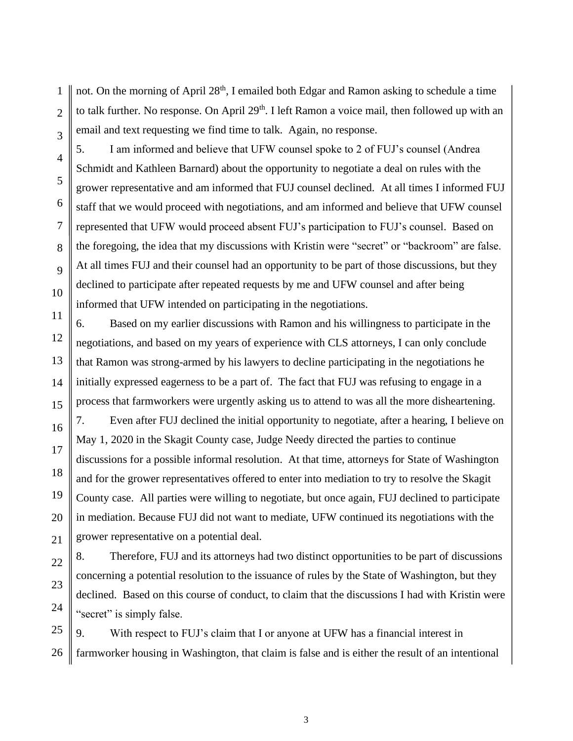1 2 3 not. On the morning of April 28<sup>th</sup>, I emailed both Edgar and Ramon asking to schedule a time to talk further. No response. On April 29<sup>th</sup>. I left Ramon a voice mail, then followed up with an email and text requesting we find time to talk. Again, no response.

4

5

6

7

8

9

10

16

17

18

19

20

21

22

23

24

5. I am informed and believe that UFW counsel spoke to 2 of FUJ's counsel (Andrea Schmidt and Kathleen Barnard) about the opportunity to negotiate a deal on rules with the grower representative and am informed that FUJ counsel declined. At all times I informed FUJ staff that we would proceed with negotiations, and am informed and believe that UFW counsel represented that UFW would proceed absent FUJ's participation to FUJ's counsel. Based on the foregoing, the idea that my discussions with Kristin were "secret" or "backroom" are false. At all times FUJ and their counsel had an opportunity to be part of those discussions, but they declined to participate after repeated requests by me and UFW counsel and after being informed that UFW intended on participating in the negotiations.

11 12 13 14 15 6. Based on my earlier discussions with Ramon and his willingness to participate in the negotiations, and based on my years of experience with CLS attorneys, I can only conclude that Ramon was strong-armed by his lawyers to decline participating in the negotiations he initially expressed eagerness to be a part of. The fact that FUJ was refusing to engage in a process that farmworkers were urgently asking us to attend to was all the more disheartening.

7. Even after FUJ declined the initial opportunity to negotiate, after a hearing, I believe on May 1, 2020 in the Skagit County case, Judge Needy directed the parties to continue discussions for a possible informal resolution. At that time, attorneys for State of Washington and for the grower representatives offered to enter into mediation to try to resolve the Skagit County case. All parties were willing to negotiate, but once again, FUJ declined to participate in mediation. Because FUJ did not want to mediate, UFW continued its negotiations with the grower representative on a potential deal.

8. Therefore, FUJ and its attorneys had two distinct opportunities to be part of discussions concerning a potential resolution to the issuance of rules by the State of Washington, but they declined. Based on this course of conduct, to claim that the discussions I had with Kristin were "secret" is simply false.

25 26 9. With respect to FUJ's claim that I or anyone at UFW has a financial interest in farmworker housing in Washington, that claim is false and is either the result of an intentional

3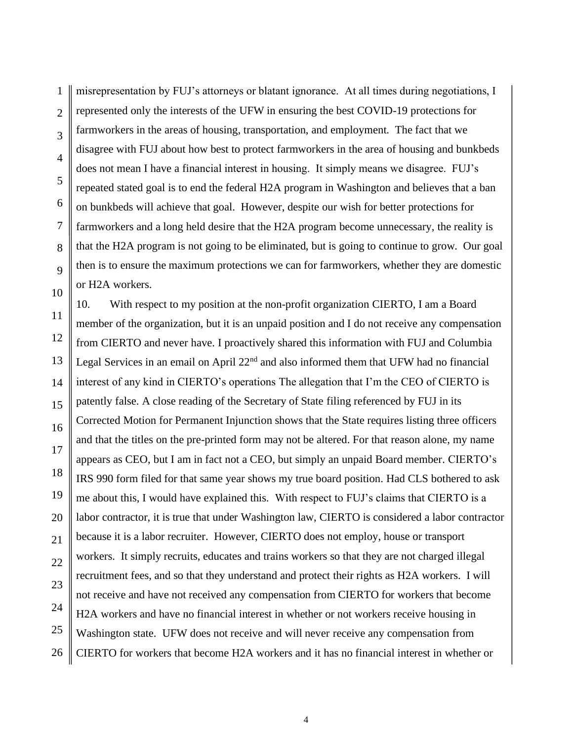1 2 3 4 5 6 7 8 9 10 misrepresentation by FUJ's attorneys or blatant ignorance. At all times during negotiations, I represented only the interests of the UFW in ensuring the best COVID-19 protections for farmworkers in the areas of housing, transportation, and employment. The fact that we disagree with FUJ about how best to protect farmworkers in the area of housing and bunkbeds does not mean I have a financial interest in housing. It simply means we disagree. FUJ's repeated stated goal is to end the federal H2A program in Washington and believes that a ban on bunkbeds will achieve that goal. However, despite our wish for better protections for farmworkers and a long held desire that the H2A program become unnecessary, the reality is that the H2A program is not going to be eliminated, but is going to continue to grow. Our goal then is to ensure the maximum protections we can for farmworkers, whether they are domestic or H2A workers.

11 12 13 14 15 16 17 18 19 20 21 22 23 24 25 26 10. With respect to my position at the non-profit organization CIERTO, I am a Board member of the organization, but it is an unpaid position and I do not receive any compensation from CIERTO and never have. I proactively shared this information with FUJ and Columbia Legal Services in an email on April  $22<sup>nd</sup>$  and also informed them that UFW had no financial interest of any kind in CIERTO's operations The allegation that I'm the CEO of CIERTO is patently false. A close reading of the Secretary of State filing referenced by FUJ in its Corrected Motion for Permanent Injunction shows that the State requires listing three officers and that the titles on the pre-printed form may not be altered. For that reason alone, my name appears as CEO, but I am in fact not a CEO, but simply an unpaid Board member. CIERTO's IRS 990 form filed for that same year shows my true board position. Had CLS bothered to ask me about this, I would have explained this. With respect to FUJ's claims that CIERTO is a labor contractor, it is true that under Washington law, CIERTO is considered a labor contractor because it is a labor recruiter. However, CIERTO does not employ, house or transport workers. It simply recruits, educates and trains workers so that they are not charged illegal recruitment fees, and so that they understand and protect their rights as H2A workers. I will not receive and have not received any compensation from CIERTO for workers that become H2A workers and have no financial interest in whether or not workers receive housing in Washington state. UFW does not receive and will never receive any compensation from CIERTO for workers that become H2A workers and it has no financial interest in whether or